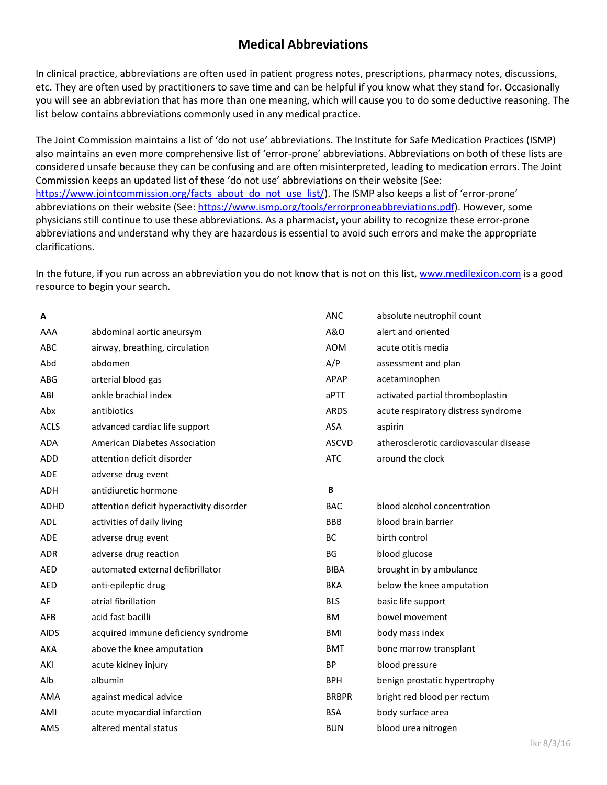# **Medical Abbreviations**

In clinical practice, abbreviations are often used in patient progress notes, prescriptions, pharmacy notes, discussions, etc. They are often used by practitioners to save time and can be helpful if you know what they stand for. Occasionally you will see an abbreviation that has more than one meaning, which will cause you to do some deductive reasoning. The list below contains abbreviations commonly used in any medical practice.

The Joint Commission maintains a list of 'do not use' abbreviations. The Institute for Safe Medication Practices (ISMP) also maintains an even more comprehensive list of 'error-prone' abbreviations. Abbreviations on both of these lists are considered unsafe because they can be confusing and are often misinterpreted, leading to medication errors. The Joint Commission keeps an updated list of these 'do not use' abbreviations on their website (See: [https://www.jointcommission.org/facts\\_about\\_do\\_not\\_use\\_list/\)](https://www.jointcommission.org/facts_about_do_not_use_list/). The ISMP also keeps a list of 'error-prone' abbreviations on their website (See[: https://www.ismp.org/tools/errorproneabbreviations.pdf\)](https://www.ismp.org/tools/errorproneabbreviations.pdf). However, some physicians still continue to use these abbreviations. As a pharmacist, your ability to recognize these error-prone abbreviations and understand why they are hazardous is essential to avoid such errors and make the appropriate clarifications.

In the future, if you run across an abbreviation you do not know that is not on this list, [www.medilexicon.com](http://www.medilexicon.com/) is a good resource to begin your search.

| А           |                                          | <b>ANC</b>   | absolute neutrophil count              |
|-------------|------------------------------------------|--------------|----------------------------------------|
| AAA         | abdominal aortic aneursym                | A&O          | alert and oriented                     |
| <b>ABC</b>  | airway, breathing, circulation           | <b>AOM</b>   | acute otitis media                     |
| Abd         | abdomen                                  | A/P          | assessment and plan                    |
| ABG         | arterial blood gas                       | APAP         | acetaminophen                          |
| ABI         | ankle brachial index                     | aPTT         | activated partial thromboplastin       |
| Abx         | antibiotics                              | <b>ARDS</b>  | acute respiratory distress syndrome    |
| <b>ACLS</b> | advanced cardiac life support            | ASA          | aspirin                                |
| <b>ADA</b>  | <b>American Diabetes Association</b>     | <b>ASCVD</b> | atherosclerotic cardiovascular disease |
| ADD         | attention deficit disorder               | <b>ATC</b>   | around the clock                       |
| <b>ADE</b>  | adverse drug event                       |              |                                        |
| <b>ADH</b>  | antidiuretic hormone                     | B            |                                        |
| <b>ADHD</b> | attention deficit hyperactivity disorder | <b>BAC</b>   | blood alcohol concentration            |
| <b>ADL</b>  | activities of daily living               | <b>BBB</b>   | blood brain barrier                    |
| <b>ADE</b>  | adverse drug event                       | <b>BC</b>    | birth control                          |
| <b>ADR</b>  | adverse drug reaction                    | <b>BG</b>    | blood glucose                          |
| AED         | automated external defibrillator         | <b>BIBA</b>  | brought in by ambulance                |
| <b>AED</b>  | anti-epileptic drug                      | <b>BKA</b>   | below the knee amputation              |
| AF          | atrial fibrillation                      | <b>BLS</b>   | basic life support                     |
| AFB         | acid fast bacilli                        | <b>BM</b>    | bowel movement                         |
| <b>AIDS</b> | acquired immune deficiency syndrome      | BMI          | body mass index                        |
| AKA         | above the knee amputation                | <b>BMT</b>   | bone marrow transplant                 |
| AKI         | acute kidney injury                      | <b>BP</b>    | blood pressure                         |
| Alb         | albumin                                  | <b>BPH</b>   | benign prostatic hypertrophy           |
| <b>AMA</b>  | against medical advice                   | <b>BRBPR</b> | bright red blood per rectum            |
| AMI         | acute myocardial infarction              | <b>BSA</b>   | body surface area                      |
| AMS         | altered mental status                    | <b>BUN</b>   | blood urea nitrogen                    |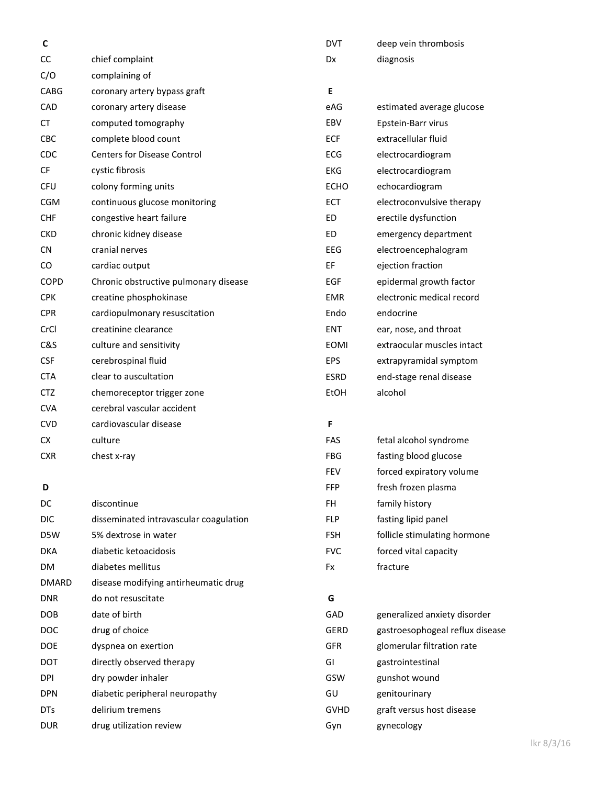| C            |                                        | <b>DVT</b>  | deep vein thrombosis            |
|--------------|----------------------------------------|-------------|---------------------------------|
| CC           | chief complaint                        | Dx          | diagnosis                       |
| C/O          | complaining of                         |             |                                 |
| <b>CABG</b>  | coronary artery bypass graft           | E           |                                 |
| CAD          | coronary artery disease                | eAG         | estimated average glucose       |
| <b>CT</b>    | computed tomography                    | EBV         | Epstein-Barr virus              |
| CBC          | complete blood count                   | <b>ECF</b>  | extracellular fluid             |
| CDC          | <b>Centers for Disease Control</b>     | ECG         | electrocardiogram               |
| CF           | cystic fibrosis                        | <b>EKG</b>  | electrocardiogram               |
| <b>CFU</b>   | colony forming units                   | <b>ECHO</b> | echocardiogram                  |
| <b>CGM</b>   | continuous glucose monitoring          | ECT         | electroconvulsive therapy       |
| <b>CHF</b>   | congestive heart failure               | ED          | erectile dysfunction            |
| <b>CKD</b>   | chronic kidney disease                 | <b>ED</b>   | emergency department            |
| <b>CN</b>    | cranial nerves                         | EEG         | electroencephalogram            |
| CO           | cardiac output                         | EF          | ejection fraction               |
| <b>COPD</b>  | Chronic obstructive pulmonary disease  | <b>EGF</b>  | epidermal growth factor         |
| <b>CPK</b>   | creatine phosphokinase                 | <b>EMR</b>  | electronic medical record       |
| <b>CPR</b>   | cardiopulmonary resuscitation          | Endo        | endocrine                       |
| CrCl         | creatinine clearance                   | <b>ENT</b>  | ear, nose, and throat           |
| C&S          | culture and sensitivity                | <b>EOMI</b> | extraocular muscles intact      |
| <b>CSF</b>   | cerebrospinal fluid                    | EPS         | extrapyramidal symptom          |
| <b>CTA</b>   | clear to auscultation                  | <b>ESRD</b> | end-stage renal disease         |
| <b>CTZ</b>   | chemoreceptor trigger zone             | <b>EtOH</b> | alcohol                         |
| <b>CVA</b>   | cerebral vascular accident             |             |                                 |
| <b>CVD</b>   | cardiovascular disease                 | F           |                                 |
| <b>CX</b>    | culture                                | FAS         | fetal alcohol syndrome          |
| <b>CXR</b>   | chest x-ray                            | <b>FBG</b>  | fasting blood glucose           |
|              |                                        | <b>FEV</b>  | forced expiratory volume        |
| D            |                                        | <b>FFP</b>  | fresh frozen plasma             |
| DC           | discontinue                            | FH.         | family history                  |
| <b>DIC</b>   | disseminated intravascular coagulation | <b>FLP</b>  | fasting lipid panel             |
| D5W          | 5% dextrose in water                   | <b>FSH</b>  | follicle stimulating hormone    |
| <b>DKA</b>   | diabetic ketoacidosis                  | <b>FVC</b>  | forced vital capacity           |
| DM           | diabetes mellitus                      | Fx          | fracture                        |
| <b>DMARD</b> | disease modifying antirheumatic drug   |             |                                 |
| <b>DNR</b>   | do not resuscitate                     | G           |                                 |
| <b>DOB</b>   | date of birth                          | GAD         | generalized anxiety disorder    |
| <b>DOC</b>   | drug of choice                         | <b>GERD</b> | gastroesophogeal reflux disease |
| <b>DOE</b>   | dyspnea on exertion                    | <b>GFR</b>  | glomerular filtration rate      |
| DOT          | directly observed therapy              | GI          | gastrointestinal                |
| <b>DPI</b>   | dry powder inhaler                     | GSW         | gunshot wound                   |
| <b>DPN</b>   | diabetic peripheral neuropathy         | GU          | genitourinary                   |
| <b>DTs</b>   | delirium tremens                       | <b>GVHD</b> | graft versus host disease       |
| <b>DUR</b>   | drug utilization review                | Gyn         | gynecology                      |
|              |                                        |             |                                 |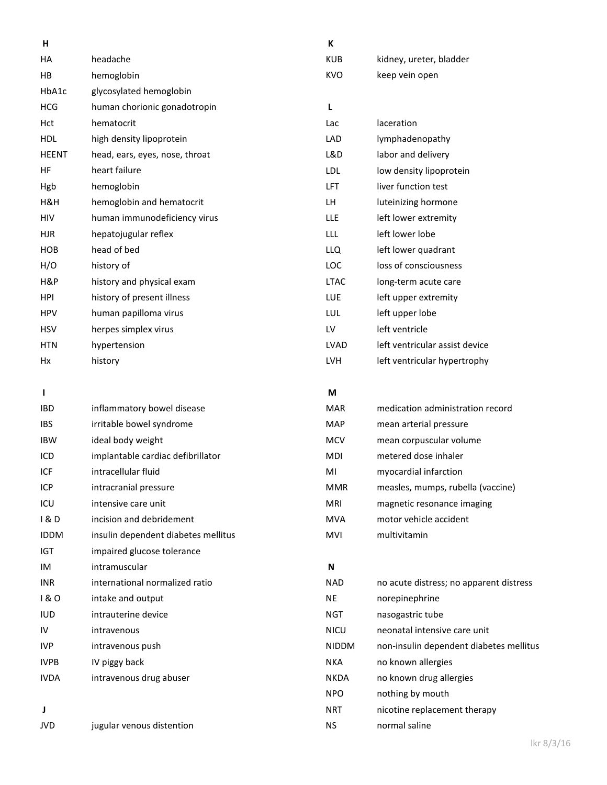| н            |                                |
|--------------|--------------------------------|
| HA           | headache                       |
| HВ           | hemoglobin                     |
| HbA1c        | glycosylated hemoglobin        |
| <b>HCG</b>   | human chorionic gonadotropin   |
| Hct          | hematocrit                     |
| HDL          | high density lipoprotein       |
| <b>HEENT</b> | head, ears, eyes, nose, throat |
| НF           | heart failure                  |
| Hgb          | hemoglobin                     |
| H&H          | hemoglobin and hematocrit      |
| HIV          | human immunodeficiency virus   |
| <b>HJR</b>   | hepatojugular reflex           |
| <b>HOB</b>   | head of bed                    |
| H/O          | history of                     |
| H&P          | history and physical exam      |
| <b>HPI</b>   | history of present illness     |
| <b>HPV</b>   | human papilloma virus          |
| <b>HSV</b>   | herpes simplex virus           |
| <b>HTN</b>   | hypertension                   |
| Hx           | history                        |

### **I**

| <b>IBD</b>  | inflammatory bowel disease          |
|-------------|-------------------------------------|
| IBS         | irritable bowel syndrome            |
| <b>IBW</b>  | ideal body weight                   |
| ICD         | implantable cardiac defibrillator   |
| ICF         | intracellular fluid                 |
| ICP         | intracranial pressure               |
| ICU         | intensive care unit                 |
| 1 & D       | incision and debridement            |
| <b>IDDM</b> | insulin dependent diabetes mellitus |
| IGT         | impaired glucose tolerance          |
| IM          | intramuscular                       |
| <b>INR</b>  | international normalized ratio      |
| 1 & O       | intake and output                   |
| iud         | intrauterine device                 |
| IV          | intravenous                         |
| IVP         | intravenous push                    |
| <b>IVPB</b> | IV piggy back                       |
| <b>IVDA</b> | intravenous drug abuser             |
|             |                                     |
|             |                                     |

#### **J**

JVD jugular venous distention

#### **K**

| <b>KUB</b> | kidney, ureter, bladder |
|------------|-------------------------|
| KVO.       | keep vein open          |

## **L**

| Lac  | laceration                     |
|------|--------------------------------|
| LAD  | lymphadenopathy                |
| L&D  | labor and delivery             |
| LDL  | low density lipoprotein        |
| LFT  | liver function test            |
| LН   | luteinizing hormone            |
| LLE  | left lower extremity           |
| LLL  | left lower lobe                |
| LLQ  | left lower quadrant            |
| LOC  | loss of consciousness          |
| LTAC | long-term acute care           |
| LUE  | left upper extremity           |
| LUL  | left upper lobe                |
| LV   | left ventricle                 |
| LVAD | left ventricular assist device |
| LVH  | left ventricular hypertrophy   |

#### **M**

| <b>MAR</b> | medication administration record  |
|------------|-----------------------------------|
| MAP        | mean arterial pressure            |
| MCV        | mean corpuscular volume           |
| MDI        | metered dose inhaler              |
| MI         | myocardial infarction             |
| <b>MMR</b> | measles, mumps, rubella (vaccine) |
| MRI        | magnetic resonance imaging        |
| MVA        | motor vehicle accident            |
| MVI        | multivitamin                      |

#### **N**

| <b>NAD</b>   | no acute distress; no apparent distress |
|--------------|-----------------------------------------|
| ΝE           | norepinephrine                          |
| NGT          | nasogastric tube                        |
| <b>NICU</b>  | neonatal intensive care unit            |
| <b>NIDDM</b> | non-insulin dependent diabetes mellitus |
| NKA          | no known allergies                      |
| <b>NKDA</b>  | no known drug allergies                 |
| <b>NPO</b>   | nothing by mouth                        |
| <b>NRT</b>   | nicotine replacement therapy            |
| NS           | normal saline                           |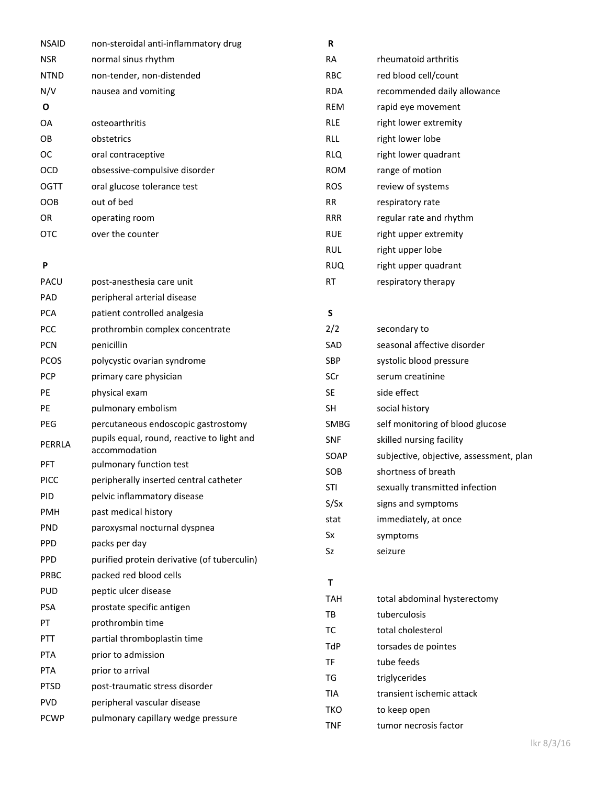| <b>NSAID</b> | non-steroidal anti-inflammatory drug                                  | R            |                                         |
|--------------|-----------------------------------------------------------------------|--------------|-----------------------------------------|
| <b>NSR</b>   | normal sinus rhythm                                                   | <b>RA</b>    | rheumatoid arthritis                    |
| <b>NTND</b>  | non-tender, non-distended                                             | <b>RBC</b>   | red blood cell/count                    |
| N/V          | nausea and vomiting                                                   | <b>RDA</b>   | recommended daily allowance             |
| O            |                                                                       | <b>REM</b>   | rapid eye movement                      |
| OA           | osteoarthritis                                                        | <b>RLE</b>   | right lower extremity                   |
| OB           | obstetrics                                                            | <b>RLL</b>   | right lower lobe                        |
| <b>OC</b>    | oral contraceptive                                                    | <b>RLQ</b>   | right lower quadrant                    |
| <b>OCD</b>   | obsessive-compulsive disorder                                         | <b>ROM</b>   | range of motion                         |
| <b>OGTT</b>  | oral glucose tolerance test                                           | <b>ROS</b>   | review of systems                       |
| <b>OOB</b>   | out of bed                                                            | <b>RR</b>    | respiratory rate                        |
| OR           | operating room                                                        | <b>RRR</b>   | regular rate and rhythm                 |
| <b>OTC</b>   | over the counter                                                      | <b>RUE</b>   | right upper extremity                   |
|              |                                                                       | <b>RUL</b>   | right upper lobe                        |
| P            |                                                                       | <b>RUQ</b>   | right upper quadrant                    |
| PACU         | post-anesthesia care unit                                             | <b>RT</b>    | respiratory therapy                     |
| PAD          | peripheral arterial disease                                           |              |                                         |
| <b>PCA</b>   | patient controlled analgesia                                          | S            |                                         |
| <b>PCC</b>   | prothrombin complex concentrate                                       | 2/2          | secondary to                            |
| <b>PCN</b>   | penicillin                                                            | SAD          | seasonal affective disorder             |
| <b>PCOS</b>  | polycystic ovarian syndrome                                           | SBP          | systolic blood pressure                 |
| <b>PCP</b>   | primary care physician                                                | SCr          | serum creatinine                        |
| PE           | physical exam                                                         | <b>SE</b>    | side effect                             |
| PE           | pulmonary embolism                                                    | <b>SH</b>    | social history                          |
| PEG          | percutaneous endoscopic gastrostomy                                   | <b>SMBG</b>  | self monitoring of blood glucose        |
| PERRLA       | pupils equal, round, reactive to light and                            | <b>SNF</b>   | skilled nursing facility                |
|              | accommodation                                                         | SOAP         | subjective, objective, assessment, plan |
| PFT          | pulmonary function test                                               | SOB          | shortness of breath                     |
| <b>PICC</b>  | peripherally inserted central catheter                                | STI          | sexually transmitted infection          |
| PID          | pelvic inflammatory disease                                           | S/Sx         | signs and symptoms                      |
| PMH          | past medical history                                                  | stat         | immediately, at once                    |
| <b>PND</b>   | paroxysmal nocturnal dyspnea                                          | Sx           | symptoms                                |
| PPD          | packs per day                                                         | Sz           | seizure                                 |
| <b>PPD</b>   | purified protein derivative (of tuberculin)<br>packed red blood cells |              |                                         |
| PRBC         | peptic ulcer disease                                                  | $\mathbf{T}$ |                                         |
| <b>PUD</b>   |                                                                       | <b>TAH</b>   | total abdominal hysterectomy            |
| PSA          | prostate specific antigen                                             | TB           | tuberculosis                            |
| PT           | prothrombin time                                                      | TC           | total cholesterol                       |
| PTT          | partial thromboplastin time                                           | TdP          | torsades de pointes                     |
| PTA          | prior to admission                                                    | TF           | tube feeds                              |
| <b>PTA</b>   | prior to arrival                                                      | TG           | triglycerides                           |
| <b>PTSD</b>  | post-traumatic stress disorder                                        | <b>TIA</b>   | transient ischemic attack               |
| <b>PVD</b>   | peripheral vascular disease                                           | <b>TKO</b>   | to keep open                            |
| <b>PCWP</b>  | pulmonary capillary wedge pressure                                    | <b>TNF</b>   | tumor necrosis factor                   |